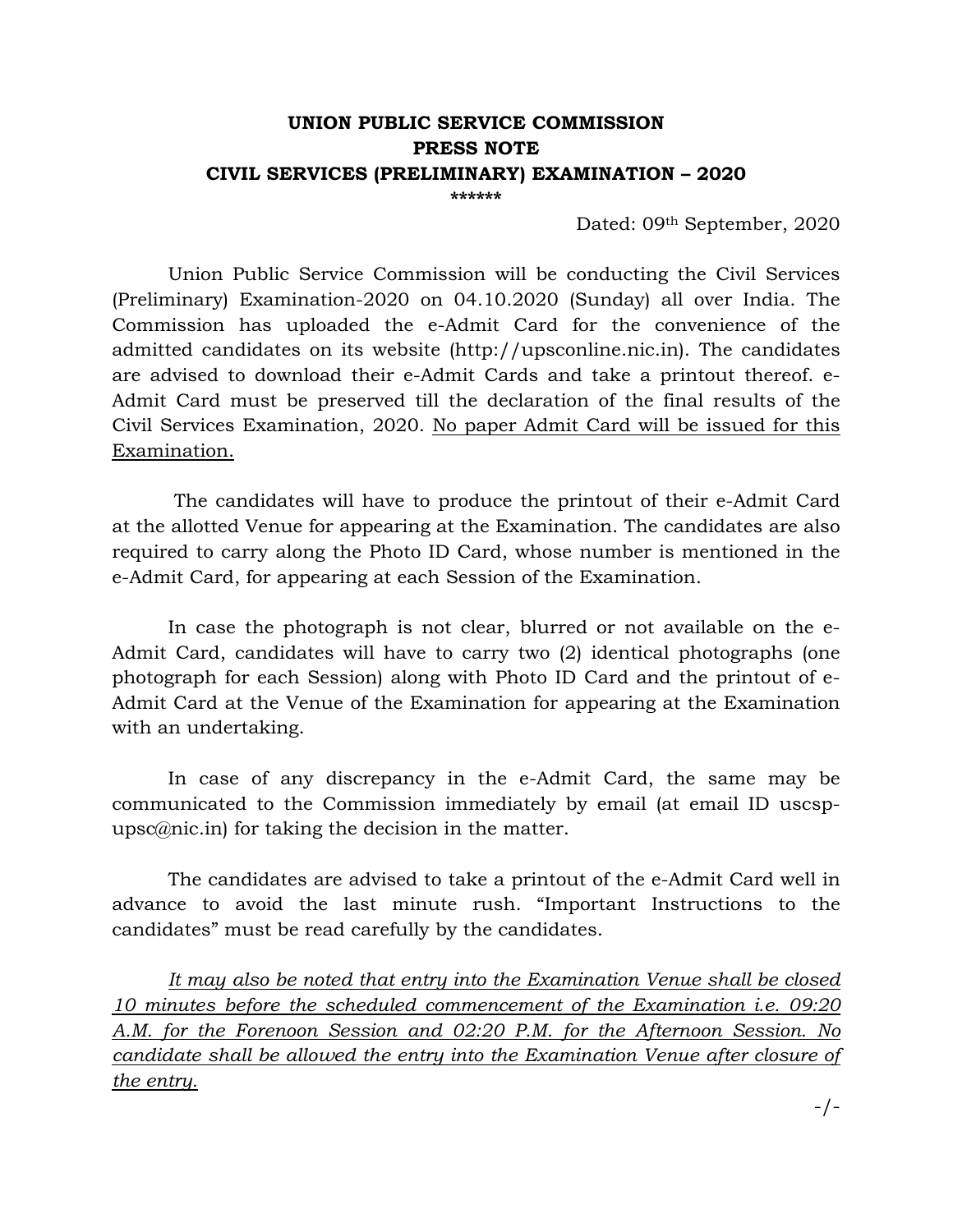## **UNION PUBLIC SERVICE COMMISSION PRESS NOTE CIVIL SERVICES (PRELIMINARY) EXAMINATION – 2020**

**\*\*\*\*\*\*** 

Dated: 09th September, 2020

 Union Public Service Commission will be conducting the Civil Services (Preliminary) Examination-2020 on 04.10.2020 (Sunday) all over India. The Commission has uploaded the e-Admit Card for the convenience of the admitted candidates on its website (http://upsconline.nic.in). The candidates are advised to download their e-Admit Cards and take a printout thereof. e-Admit Card must be preserved till the declaration of the final results of the Civil Services Examination, 2020. No paper Admit Card will be issued for this Examination.

 The candidates will have to produce the printout of their e-Admit Card at the allotted Venue for appearing at the Examination. The candidates are also required to carry along the Photo ID Card, whose number is mentioned in the e-Admit Card, for appearing at each Session of the Examination.

In case the photograph is not clear, blurred or not available on the e-Admit Card, candidates will have to carry two (2) identical photographs (one photograph for each Session) along with Photo ID Card and the printout of e-Admit Card at the Venue of the Examination for appearing at the Examination with an undertaking.

In case of any discrepancy in the e-Admit Card, the same may be communicated to the Commission immediately by email (at email ID uscspupsc@nic.in) for taking the decision in the matter.

 The candidates are advised to take a printout of the e-Admit Card well in advance to avoid the last minute rush. "Important Instructions to the candidates" must be read carefully by the candidates.

*It may also be noted that entry into the Examination Venue shall be closed 10 minutes before the scheduled commencement of the Examination i.e. 09:20 A.M. for the Forenoon Session and 02:20 P.M. for the Afternoon Session. No candidate shall be allowed the entry into the Examination Venue after closure of the entry.*